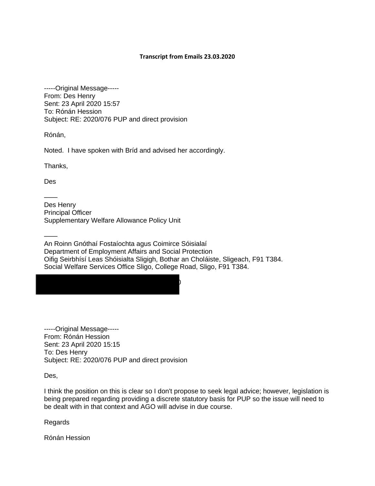## **Transcript from Emails 23.03.2020**

-----Original Message----- From: Des Henry Sent: 23 April 2020 15:57 To: Rónán Hession Subject: RE: 2020/076 PUP and direct provision

Rónán,

Noted. I have spoken with Bríd and advised her accordingly.

Thanks,

Des

——

—— Des Henry Principal Officer Supplementary Welfare Allowance Policy Unit

 $\mathcal{O}$ 

—— An Roinn Gnóthaí Fostaíochta agus Coimirce Sóisialaí Department of Employment Affairs and Social Protection Oifig Seirbhísí Leas Shóisialta Sligigh, Bothar an Choláiste, Sligeach, F91 T384. Social Welfare Services Office Sligo, College Road, Sligo, F91 T384.

-----Original Message----- From: Rónán Hession Sent: 23 April 2020 15:15 To: Des Henry Subject: RE: 2020/076 PUP and direct provision

Des,

I think the position on this is clear so I don't propose to seek legal advice; however, legislation is being prepared regarding providing a discrete statutory basis for PUP so the issue will need to be dealt with in that context and AGO will advise in due course.

Regards

Rónán Hession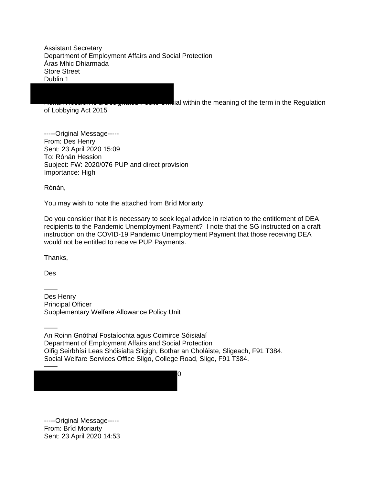Assistant Secretary Department of Employment Affairs and Social Protection Áras Mhic Dhiarmada Store Street Dublin 1

of Lobbying Act 2015

ial within the meaning of the term in the Regulation

-----Original Message----- From: Des Henry Sent: 23 April 2020 15:09 To: Rónán Hession Subject: FW: 2020/076 PUP and direct provision Importance: High

Rónán,

You may wish to note the attached from Bríd Moriarty.

Do you consider that it is necessary to seek legal advice in relation to the entitlement of DEA recipients to the Pandemic Unemployment Payment? I note that the SG instructed on a draft instruction on the COVID-19 Pandemic Unemployment Payment that those receiving DEA would not be entitled to receive PUP Payments.

Thanks,

Des

——

Des Henry Principal Officer Supplementary Welfare Allowance Policy Unit

—— An Roinn Gnóthaí Fostaíochta agus Coimirce Sóisialaí Department of Employment Affairs and Social Protection Oifig Seirbhísí Leas Shóisialta Sligigh, Bothar an Choláiste, Sligeach, F91 T384. Social Welfare Services Office Sligo, College Road, Sligo, F91 T384.

——  $\overline{3}$ 

-----Original Message----- From: Bríd Moriarty Sent: 23 April 2020 14:53